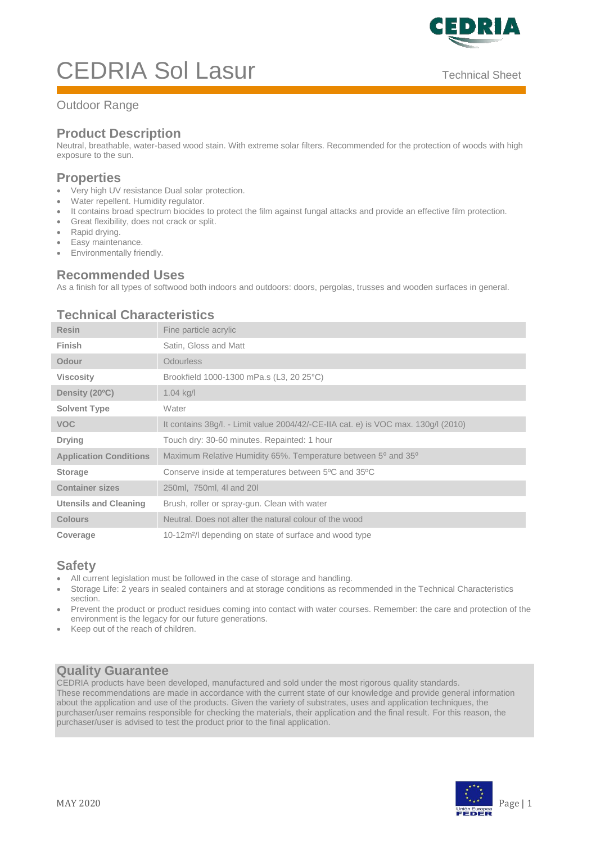

# CEDRIA Sol Lasur Technical Sheet

## Outdoor Range

# **Product Description**

Neutral, breathable, water-based wood stain. With extreme solar filters. Recommended for the protection of woods with high exposure to the sun.

#### **Properties**

- Very high UV resistance Dual solar protection.
- Water repellent. Humidity regulator.
- It contains broad spectrum biocides to protect the film against fungal attacks and provide an effective film protection.
- Great flexibility, does not crack or split.
- Rapid drying.
- Easy maintenance.
- **•** Environmentally friendly.

## **Recommended Uses**

As a finish for all types of softwood both indoors and outdoors: doors, pergolas, trusses and wooden surfaces in general.

## **Technical Characteristics**

| <b>Resin</b>                  | Fine particle acrylic                                                              |
|-------------------------------|------------------------------------------------------------------------------------|
| Finish                        | Satin, Gloss and Matt                                                              |
| Odour                         | <b>Odourless</b>                                                                   |
| <b>Viscosity</b>              | Brookfield 1000-1300 mPa.s (L3, 20 25°C)                                           |
| Density (20°C)                | $1.04$ kg/l                                                                        |
| <b>Solvent Type</b>           | Water                                                                              |
| <b>VOC</b>                    | It contains 38g/l. - Limit value 2004/42/-CE-IIA cat. e) is VOC max. 130g/l (2010) |
| <b>Drying</b>                 | Touch dry: 30-60 minutes. Repainted: 1 hour                                        |
| <b>Application Conditions</b> | Maximum Relative Humidity 65%. Temperature between 5° and 35°                      |
| <b>Storage</b>                | Conserve inside at temperatures between 5°C and 35°C                               |
| <b>Container sizes</b>        | 250ml, 750ml, 4l and 20l                                                           |
| <b>Utensils and Cleaning</b>  | Brush, roller or spray-gun. Clean with water                                       |
| <b>Colours</b>                | Neutral. Does not alter the natural colour of the wood                             |
| Coverage                      | 10-12m <sup>2</sup> /l depending on state of surface and wood type                 |

#### **Safety**

- All current legislation must be followed in the case of storage and handling.
- Storage Life: 2 years in sealed containers and at storage conditions as recommended in the Technical Characteristics section.
- Prevent the product or product residues coming into contact with water courses. Remember: the care and protection of the environment is the legacy for our future generations.
- Keep out of the reach of children.

# **Quality Guarantee**

CEDRIA products have been developed, manufactured and sold under the most rigorous quality standards. These recommendations are made in accordance with the current state of our knowledge and provide general information about the application and use of the products. Given the variety of substrates, uses and application techniques, the purchaser/user remains responsible for checking the materials, their application and the final result. For this reason, the purchaser/user is advised to test the product prior to the final application.